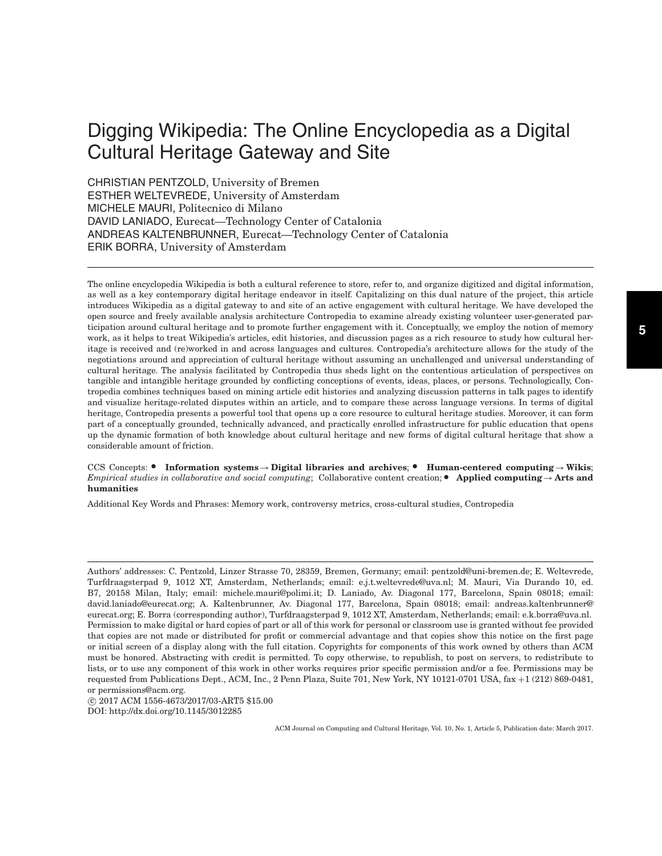# Digging Wikipedia: The Online Encyclopedia as a Digital Cultural Heritage Gateway and Site

CHRISTIAN PENTZOLD, University of Bremen ESTHER WELTEVREDE, University of Amsterdam MICHELE MAURI, Politecnico di Milano DAVID LANIADO, Eurecat—Technology Center of Catalonia ANDREAS KALTENBRUNNER, Eurecat—Technology Center of Catalonia ERIK BORRA, University of Amsterdam

The online encyclopedia Wikipedia is both a cultural reference to store, refer to, and organize digitized and digital information, as well as a key contemporary digital heritage endeavor in itself. Capitalizing on this dual nature of the project, this article introduces Wikipedia as a digital gateway to and site of an active engagement with cultural heritage. We have developed the open source and freely available analysis architecture Contropedia to examine already existing volunteer user-generated participation around cultural heritage and to promote further engagement with it. Conceptually, we employ the notion of memory work, as it helps to treat Wikipedia's articles, edit histories, and discussion pages as a rich resource to study how cultural heritage is received and (re)worked in and across languages and cultures. Contropedia's architecture allows for the study of the negotiations around and appreciation of cultural heritage without assuming an unchallenged and universal understanding of cultural heritage. The analysis facilitated by Contropedia thus sheds light on the contentious articulation of perspectives on tangible and intangible heritage grounded by conflicting conceptions of events, ideas, places, or persons. Technologically, Contropedia combines techniques based on mining article edit histories and analyzing discussion patterns in talk pages to identify and visualize heritage-related disputes within an article, and to compare these across language versions. In terms of digital heritage, Contropedia presents a powerful tool that opens up a core resource to cultural heritage studies. Moreover, it can form part of a conceptually grounded, technically advanced, and practically enrolled infrastructure for public education that opens up the dynamic formation of both knowledge about cultural heritage and new forms of digital cultural heritage that show a considerable amount of friction.

CCS Concepts: • Information systems → Digital libraries and archives; • Human-centered computing → Wikis; *Empirical studies in collaborative and social computing*; Collaborative content creation; ● **Applied computing**→**Arts and humanities**

Additional Key Words and Phrases: Memory work, controversy metrics, cross-cultural studies, Contropedia

-c 2017 ACM 1556-4673/2017/03-ART5 \$15.00 DOI:<http://dx.doi.org/10.1145/3012285>

Authors' addresses: C. Pentzold, Linzer Strasse 70, 28359, Bremen, Germany; email: pentzold@uni-bremen.de; E. Weltevrede, Turfdraagsterpad 9, 1012 XT, Amsterdam, Netherlands; email: e.j.t.weltevrede@uva.nl; M. Mauri, Via Durando 10, ed. B7, 20158 Milan, Italy; email: michele.mauri@polimi.it; D. Laniado, Av. Diagonal 177, Barcelona, Spain 08018; email: david.laniado@eurecat.org; A. Kaltenbrunner, Av. Diagonal 177, Barcelona, Spain 08018; email: andreas.kaltenbrunner@ eurecat.org; E. Borra (corresponding author), Turfdraagsterpad 9, 1012 XT, Amsterdam, Netherlands; email: e.k.borra@uva.nl. Permission to make digital or hard copies of part or all of this work for personal or classroom use is granted without fee provided that copies are not made or distributed for profit or commercial advantage and that copies show this notice on the first page or initial screen of a display along with the full citation. Copyrights for components of this work owned by others than ACM must be honored. Abstracting with credit is permitted. To copy otherwise, to republish, to post on servers, to redistribute to lists, or to use any component of this work in other works requires prior specific permission and/or a fee. Permissions may be requested from Publications Dept., ACM, Inc., 2 Penn Plaza, Suite 701, New York, NY 10121-0701 USA, fax +1 (212) 869-0481, or permissions@acm.org.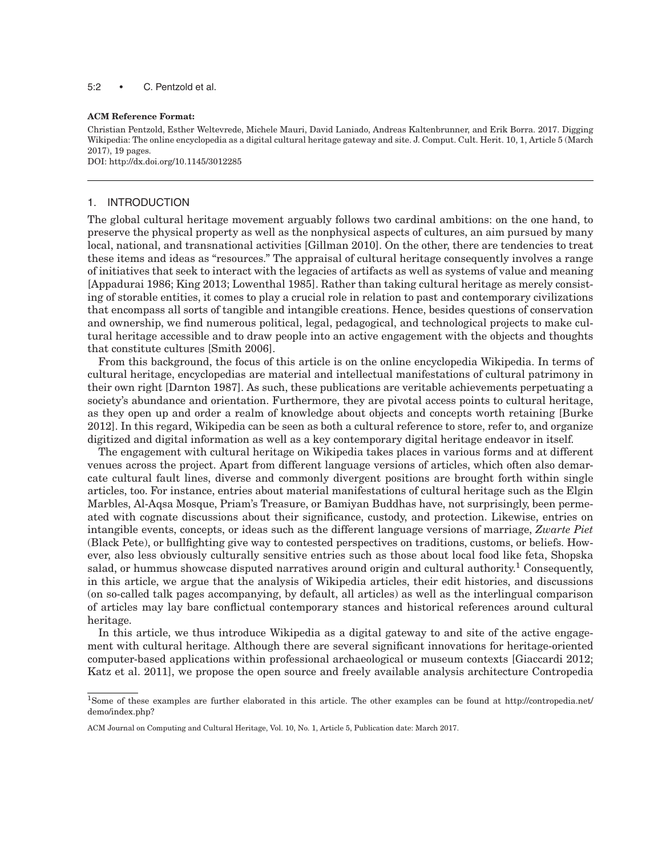5:2 • C. Pentzold et al.

#### **ACM Reference Format:**

Christian Pentzold, Esther Weltevrede, Michele Mauri, David Laniado, Andreas Kaltenbrunner, and Erik Borra. 2017. Digging Wikipedia: The online encyclopedia as a digital cultural heritage gateway and site. J. Comput. Cult. Herit. 10, 1, Article 5 (March 2017), 19 pages.

DOI:<http://dx.doi.org/10.1145/3012285>

#### 1. INTRODUCTION

The global cultural heritage movement arguably follows two cardinal ambitions: on the one hand, to preserve the physical property as well as the nonphysical aspects of cultures, an aim pursued by many local, national, and transnational activities [\[Gillman 2010\]](#page-16-0). On the other, there are tendencies to treat these items and ideas as "resources." The appraisal of cultural heritage consequently involves a range of initiatives that seek to interact with the legacies of artifacts as well as systems of value and meaning [\[Appadurai 1986;](#page-16-1) [King 2013;](#page-17-0) [Lowenthal 1985\]](#page-17-1). Rather than taking cultural heritage as merely consisting of storable entities, it comes to play a crucial role in relation to past and contemporary civilizations that encompass all sorts of tangible and intangible creations. Hence, besides questions of conservation and ownership, we find numerous political, legal, pedagogical, and technological projects to make cultural heritage accessible and to draw people into an active engagement with the objects and thoughts that constitute cultures [\[Smith 2006\]](#page-17-2).

From this background, the focus of this article is on the online encyclopedia Wikipedia. In terms of cultural heritage, encyclopedias are material and intellectual manifestations of cultural patrimony in their own right [\[Darnton 1987\]](#page-16-2). As such, these publications are veritable achievements perpetuating a society's abundance and orientation. Furthermore, they are pivotal access points to cultural heritage, as they open up and order a realm of knowledge about objects and concepts worth retaining [\[Burke](#page-16-3) [2012\]](#page-16-3). In this regard, Wikipedia can be seen as both a cultural reference to store, refer to, and organize digitized and digital information as well as a key contemporary digital heritage endeavor in itself.

The engagement with cultural heritage on Wikipedia takes places in various forms and at different venues across the project. Apart from different language versions of articles, which often also demarcate cultural fault lines, diverse and commonly divergent positions are brought forth within single articles, too. For instance, entries about material manifestations of cultural heritage such as the Elgin Marbles, Al-Aqsa Mosque, Priam's Treasure, or Bamiyan Buddhas have, not surprisingly, been permeated with cognate discussions about their significance, custody, and protection. Likewise, entries on intangible events, concepts, or ideas such as the different language versions of marriage, *Zwarte Piet* (Black Pete), or bullfighting give way to contested perspectives on traditions, customs, or beliefs. However, also less obviously culturally sensitive entries such as those about local food like feta, Shopska salad, or hummus showcase disputed narratives around origin and cultural authority.<sup>[1](#page-1-0)</sup> Consequently, in this article, we argue that the analysis of Wikipedia articles, their edit histories, and discussions (on so-called talk pages accompanying, by default, all articles) as well as the interlingual comparison of articles may lay bare conflictual contemporary stances and historical references around cultural heritage.

In this article, we thus introduce Wikipedia as a digital gateway to and site of the active engagement with cultural heritage. Although there are several significant innovations for heritage-oriented computer-based applications within professional archaeological or museum contexts [\[Giaccardi 2012;](#page-16-4) [Katz et al. 2011\]](#page-17-3), we propose the open source and freely available analysis architecture Contropedia

<span id="page-1-0"></span><sup>1</sup>Some of these examples are further elaborated in this article. The other examples can be found at http://contropedia.net/ demo/index.php?

ACM Journal on Computing and Cultural Heritage, Vol. 10, No. 1, Article 5, Publication date: March 2017.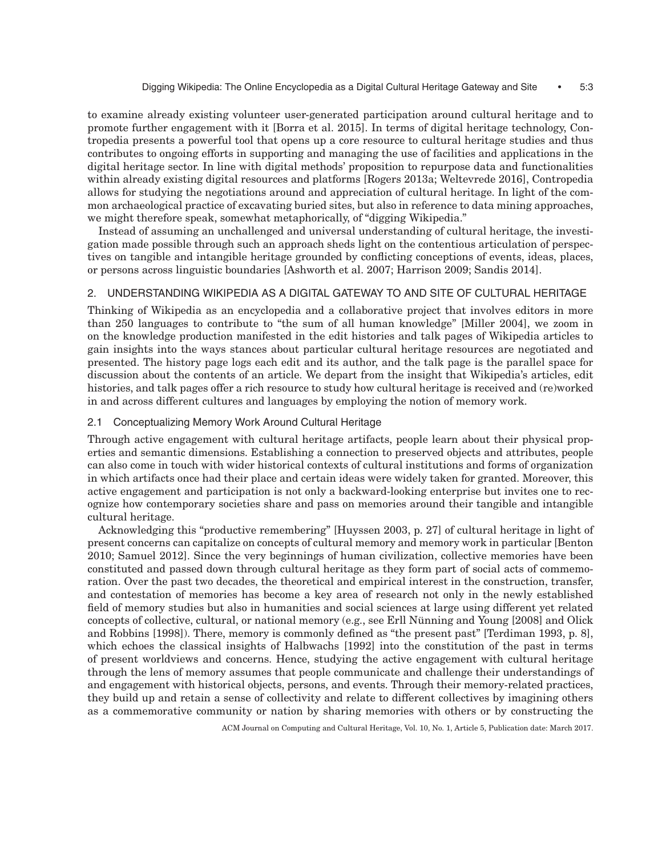to examine already existing volunteer user-generated participation around cultural heritage and to promote further engagement with it [\[Borra et al. 2015\]](#page-16-5). In terms of digital heritage technology, Contropedia presents a powerful tool that opens up a core resource to cultural heritage studies and thus contributes to ongoing efforts in supporting and managing the use of facilities and applications in the digital heritage sector. In line with digital methods' proposition to repurpose data and functionalities within already existing digital resources and platforms [\[Rogers 2013a;](#page-17-4) [Weltevrede 2016\]](#page-18-0), Contropedia allows for studying the negotiations around and appreciation of cultural heritage. In light of the common archaeological practice of excavating buried sites, but also in reference to data mining approaches, we might therefore speak, somewhat metaphorically, of "digging Wikipedia."

Instead of assuming an unchallenged and universal understanding of cultural heritage, the investigation made possible through such an approach sheds light on the contentious articulation of perspectives on tangible and intangible heritage grounded by conflicting conceptions of events, ideas, places, or persons across linguistic boundaries [\[Ashworth et al. 2007;](#page-16-6) [Harrison 2009;](#page-17-5) [Sandis 2014\]](#page-17-6).

## 2. UNDERSTANDING WIKIPEDIA AS A DIGITAL GATEWAY TO AND SITE OF CULTURAL HERITAGE

Thinking of Wikipedia as an encyclopedia and a collaborative project that involves editors in more than 250 languages to contribute to "the sum of all human knowledge" [\[Miller 2004\]](#page-17-7), we zoom in on the knowledge production manifested in the edit histories and talk pages of Wikipedia articles to gain insights into the ways stances about particular cultural heritage resources are negotiated and presented. The history page logs each edit and its author, and the talk page is the parallel space for discussion about the contents of an article. We depart from the insight that Wikipedia's articles, edit histories, and talk pages offer a rich resource to study how cultural heritage is received and (re)worked in and across different cultures and languages by employing the notion of memory work.

## 2.1 Conceptualizing Memory Work Around Cultural Heritage

Through active engagement with cultural heritage artifacts, people learn about their physical properties and semantic dimensions. Establishing a connection to preserved objects and attributes, people can also come in touch with wider historical contexts of cultural institutions and forms of organization in which artifacts once had their place and certain ideas were widely taken for granted. Moreover, this active engagement and participation is not only a backward-looking enterprise but invites one to recognize how contemporary societies share and pass on memories around their tangible and intangible cultural heritage.

Acknowledging this "productive remembering" [\[Huyssen 2003,](#page-17-8) p. 27] of cultural heritage in light of present concerns can capitalize on concepts of cultural memory and memory work in particular [\[Benton](#page-16-7) [2010;](#page-16-7) [Samuel 2012\]](#page-17-9). Since the very beginnings of human civilization, collective memories have been constituted and passed down through cultural heritage as they form part of social acts of commemoration. Over the past two decades, the theoretical and empirical interest in the construction, transfer, and contestation of memories has become a key area of research not only in the newly established field of memory studies but also in humanities and social sciences at large using different yet related concepts of collective, cultural, or national memory (e.g., see Erll Nünning and Young  $[2008]$  and [Olick](#page-17-10) [and Robbins \[1998\]\)](#page-17-10). There, memory is commonly defined as "the present past" [\[Terdiman 1993,](#page-18-1) p. 8], which echoes the classical insights of [Halbwachs \[1992\]](#page-17-11) into the constitution of the past in terms of present worldviews and concerns. Hence, studying the active engagement with cultural heritage through the lens of memory assumes that people communicate and challenge their understandings of and engagement with historical objects, persons, and events. Through their memory-related practices, they build up and retain a sense of collectivity and relate to different collectives by imagining others as a commemorative community or nation by sharing memories with others or by constructing the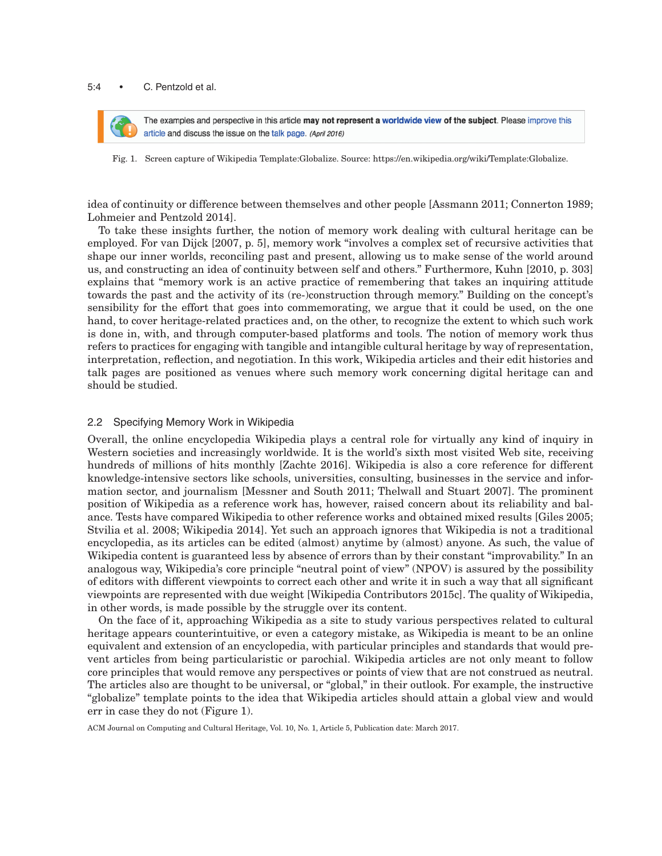#### 5:4 • C. Pentzold et al.



The examples and perspective in this article may not represent a worldwide view of the subject. Please improve this article and discuss the issue on the talk page. (April 2016)

Fig. 1. Screen capture of Wikipedia Template:Globalize. Source: https://en.wikipedia.org/wiki/Template:Globalize.

idea of continuity or difference between themselves and other people [\[Assmann 2011;](#page-16-9) [Connerton 1989;](#page-16-10) [Lohmeier and Pentzold 2014\]](#page-17-12).

To take these insights further, the notion of memory work dealing with cultural heritage can be employed. For van Dijck [2007, p. 5], memory work "involves a complex set of recursive activities that shape our inner worlds, reconciling past and present, allowing us to make sense of the world around us, and constructing an idea of continuity between self and others." Furthermore, Kuhn [2010, p. 303] explains that "memory work is an active practice of remembering that takes an inquiring attitude towards the past and the activity of its (re-)construction through memory." Building on the concept's sensibility for the effort that goes into commemorating, we argue that it could be used, on the one hand, to cover heritage-related practices and, on the other, to recognize the extent to which such work is done in, with, and through computer-based platforms and tools. The notion of memory work thus refers to practices for engaging with tangible and intangible cultural heritage by way of representation, interpretation, reflection, and negotiation. In this work, Wikipedia articles and their edit histories and talk pages are positioned as venues where such memory work concerning digital heritage can and should be studied.

## 2.2 Specifying Memory Work in Wikipedia

Overall, the online encyclopedia Wikipedia plays a central role for virtually any kind of inquiry in Western societies and increasingly worldwide. It is the world's sixth most visited Web site, receiving hundreds of millions of hits monthly [\[Zachte 2016\]](#page-18-2). Wikipedia is also a core reference for different knowledge-intensive sectors like schools, universities, consulting, businesses in the service and information sector, and journalism [\[Messner and South 2011;](#page-17-13) [Thelwall and Stuart 2007\]](#page-18-3). The prominent position of Wikipedia as a reference work has, however, raised concern about its reliability and balance. Tests have compared Wikipedia to other reference works and obtained mixed results [\[Giles 2005;](#page-16-11) [Stvilia et al. 2008;](#page-18-4) [Wikipedia 2014\]](#page-18-5). Yet such an approach ignores that Wikipedia is not a traditional encyclopedia, as its articles can be edited (almost) anytime by (almost) anyone. As such, the value of Wikipedia content is guaranteed less by absence of errors than by their constant "improvability." In an analogous way, Wikipedia's core principle "neutral point of view" (NPOV) is assured by the possibility of editors with different viewpoints to correct each other and write it in such a way that all significant viewpoints are represented with due weight [Wikipedia [Contributors 2015c\]](#page-18-6). The quality of Wikipedia, in other words, is made possible by the struggle over its content.

On the face of it, approaching Wikipedia as a site to study various perspectives related to cultural heritage appears counterintuitive, or even a category mistake, as Wikipedia is meant to be an online equivalent and extension of an encyclopedia, with particular principles and standards that would prevent articles from being particularistic or parochial. Wikipedia articles are not only meant to follow core principles that would remove any perspectives or points of view that are not construed as neutral. The articles also are thought to be universal, or "global," in their outlook. For example, the instructive "globalize" template points to the idea that Wikipedia articles should attain a global view and would err in case they do not (Figure 1).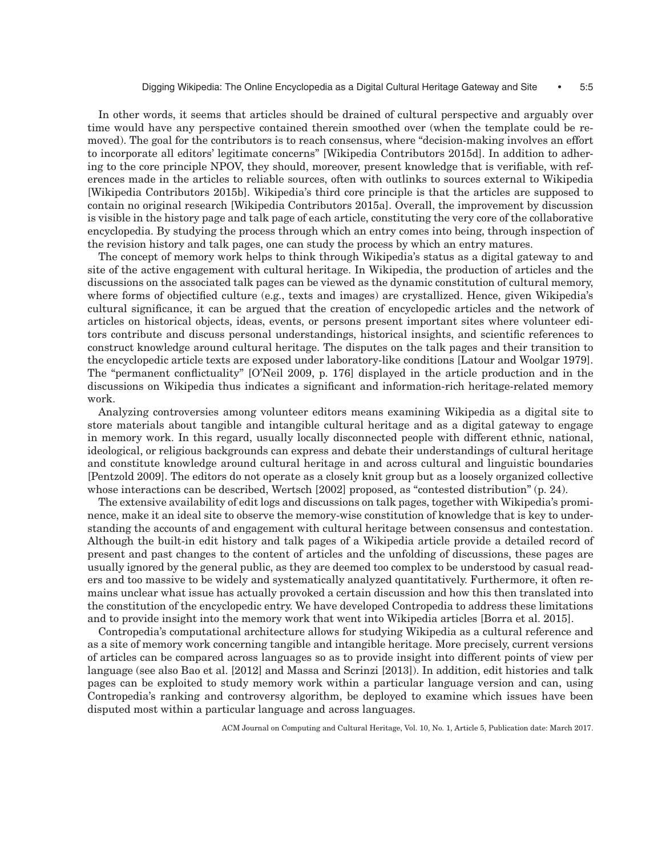In other words, it seems that articles should be drained of cultural perspective and arguably over time would have any perspective contained therein smoothed over (when the template could be removed). The goal for the contributors is to reach consensus, where "decision-making involves an effort to incorporate all editors' legitimate concerns" [Wikipedia [Contributors 2015d\]](#page-18-7). In addition to adhering to the core principle NPOV, they should, moreover, present knowledge that is verifiable, with references made in the articles to reliable sources, often with outlinks to sources external to Wikipedia [Wikipedia [Contributors 2015b\]](#page-18-8). Wikipedia's third core principle is that the articles are supposed to contain no original research [Wikipedia [Contributors 2015a\]](#page-18-9). Overall, the improvement by discussion is visible in the history page and talk page of each article, constituting the very core of the collaborative encyclopedia. By studying the process through which an entry comes into being, through inspection of the revision history and talk pages, one can study the process by which an entry matures.

The concept of memory work helps to think through Wikipedia's status as a digital gateway to and site of the active engagement with cultural heritage. In Wikipedia, the production of articles and the discussions on the associated talk pages can be viewed as the dynamic constitution of cultural memory, where forms of objectified culture (e.g., texts and images) are crystallized. Hence, given Wikipedia's cultural significance, it can be argued that the creation of encyclopedic articles and the network of articles on historical objects, ideas, events, or persons present important sites where volunteer editors contribute and discuss personal understandings, historical insights, and scientific references to construct knowledge around cultural heritage. The disputes on the talk pages and their transition to the encyclopedic article texts are exposed under laboratory-like conditions [\[Latour and Woolgar 1979\]](#page-17-14). The "permanent conflictuality" [\[O'Neil 2009,](#page-17-15) p. 176] displayed in the article production and in the discussions on Wikipedia thus indicates a significant and information-rich heritage-related memory work.

Analyzing controversies among volunteer editors means examining Wikipedia as a digital site to store materials about tangible and intangible cultural heritage and as a digital gateway to engage in memory work. In this regard, usually locally disconnected people with different ethnic, national, ideological, or religious backgrounds can express and debate their understandings of cultural heritage and constitute knowledge around cultural heritage in and across cultural and linguistic boundaries [\[Pentzold 2009\]](#page-17-16). The editors do not operate as a closely knit group but as a loosely organized collective whose interactions can be described, [Wertsch \[2002\]](#page-18-10) proposed, as "contested distribution" (p. 24).

The extensive availability of edit logs and discussions on talk pages, together with Wikipedia's prominence, make it an ideal site to observe the memory-wise constitution of knowledge that is key to understanding the accounts of and engagement with cultural heritage between consensus and contestation. Although the built-in edit history and talk pages of a Wikipedia article provide a detailed record of present and past changes to the content of articles and the unfolding of discussions, these pages are usually ignored by the general public, as they are deemed too complex to be understood by casual readers and too massive to be widely and systematically analyzed quantitatively. Furthermore, it often remains unclear what issue has actually provoked a certain discussion and how this then translated into the constitution of the encyclopedic entry. We have developed Contropedia to address these limitations and to provide insight into the memory work that went into Wikipedia articles [\[Borra et al. 2015\]](#page-16-5).

Contropedia's computational architecture allows for studying Wikipedia as a cultural reference and as a site of memory work concerning tangible and intangible heritage. More precisely, current versions of articles can be compared across languages so as to provide insight into different points of view per language (see also [Bao et al. \[2012\]](#page-16-12) and [Massa and Scrinzi \[2013\]\)](#page-17-17). In addition, edit histories and talk pages can be exploited to study memory work within a particular language version and can, using Contropedia's ranking and controversy algorithm, be deployed to examine which issues have been disputed most within a particular language and across languages.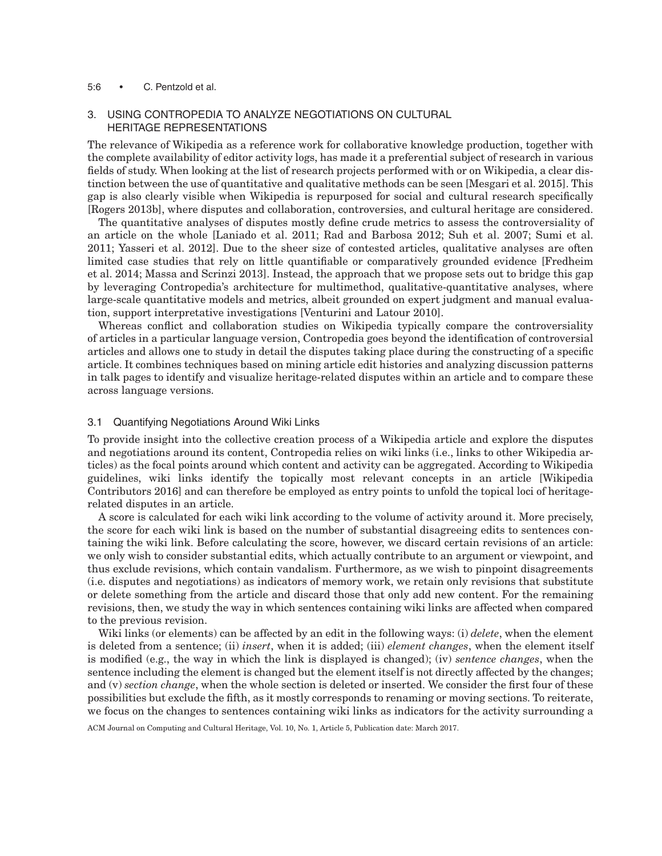#### 5:6 • C. Pentzold et al.

## 3. USING CONTROPEDIA TO ANALYZE NEGOTIATIONS ON CULTURAL HERITAGE REPRESENTATIONS

The relevance of Wikipedia as a reference work for collaborative knowledge production, together with the complete availability of editor activity logs, has made it a preferential subject of research in various fields of study. When looking at the list of research projects performed with or on Wikipedia, a clear distinction between the use of quantitative and qualitative methods can be seen [\[Mesgari et al. 2015\]](#page-17-18). This gap is also clearly visible when Wikipedia is repurposed for social and cultural research specifically [\[Rogers 2013b\]](#page-17-4), where disputes and collaboration, controversies, and cultural heritage are considered.

The quantitative analyses of disputes mostly define crude metrics to assess the controversiality of an article on the whole [\[Laniado et al. 2011;](#page-17-19) [Rad and Barbosa 2012;](#page-17-20) [Suh et al. 2007;](#page-18-11) [Sumi et al.](#page-18-12) [2011;](#page-18-12) [Yasseri et al. 2012\]](#page-18-13). Due to the sheer size of contested articles, qualitative analyses are often limited case studies that rely on little quantifiable or comparatively grounded evidence [\[Fredheim](#page-16-13) [et al. 2014;](#page-16-13) [Massa and Scrinzi 2013\]](#page-17-17). Instead, the approach that we propose sets out to bridge this gap by leveraging Contropedia's architecture for multimethod, qualitative-quantitative analyses, where large-scale quantitative models and metrics, albeit grounded on expert judgment and manual evaluation, support interpretative investigations [\[Venturini and Latour 2010\]](#page-18-14).

Whereas conflict and collaboration studies on Wikipedia typically compare the controversiality of articles in a particular language version, Contropedia goes beyond the identification of controversial articles and allows one to study in detail the disputes taking place during the constructing of a specific article. It combines techniques based on mining article edit histories and analyzing discussion patterns in talk pages to identify and visualize heritage-related disputes within an article and to compare these across language versions.

## 3.1 Quantifying Negotiations Around Wiki Links

To provide insight into the collective creation process of a Wikipedia article and explore the disputes and negotiations around its content, Contropedia relies on wiki links (i.e., links to other Wikipedia articles) as the focal points around which content and activity can be aggregated. According to Wikipedia guidelines, wiki links identify the topically most relevant concepts in an article [Wikipedia [Contributors 2016\]](#page-18-15) and can therefore be employed as entry points to unfold the topical loci of heritagerelated disputes in an article.

A score is calculated for each wiki link according to the volume of activity around it. More precisely, the score for each wiki link is based on the number of substantial disagreeing edits to sentences containing the wiki link. Before calculating the score, however, we discard certain revisions of an article: we only wish to consider substantial edits, which actually contribute to an argument or viewpoint, and thus exclude revisions, which contain vandalism. Furthermore, as we wish to pinpoint disagreements (i.e. disputes and negotiations) as indicators of memory work, we retain only revisions that substitute or delete something from the article and discard those that only add new content. For the remaining revisions, then, we study the way in which sentences containing wiki links are affected when compared to the previous revision.

Wiki links (or elements) can be affected by an edit in the following ways: (i) *delete*, when the element is deleted from a sentence; (ii) *insert*, when it is added; (iii) *element changes*, when the element itself is modified (e.g., the way in which the link is displayed is changed); (iv) *sentence changes*, when the sentence including the element is changed but the element itself is not directly affected by the changes; and (v) *section change*, when the whole section is deleted or inserted. We consider the first four of these possibilities but exclude the fifth, as it mostly corresponds to renaming or moving sections. To reiterate, we focus on the changes to sentences containing wiki links as indicators for the activity surrounding a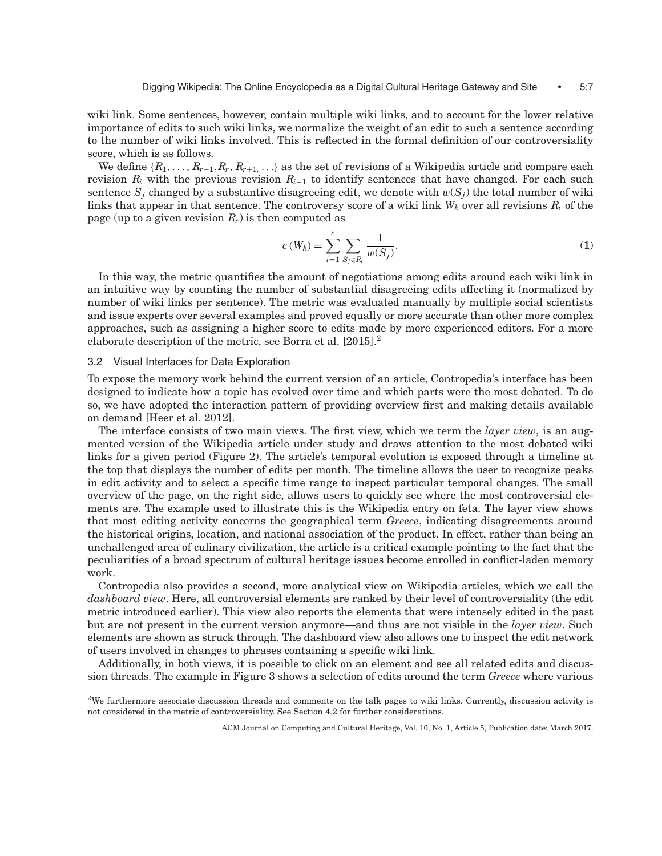wiki link. Some sentences, however, contain multiple wiki links, and to account for the lower relative importance of edits to such wiki links, we normalize the weight of an edit to such a sentence according to the number of wiki links involved. This is reflected in the formal definition of our controversiality score, which is as follows.

We define  $\{R_1, \ldots, R_{r-1}, R_r, R_{r+1}, \ldots\}$  as the set of revisions of a Wikipedia article and compare each revision *Ri* with the previous revision *Ri*<sup>−</sup><sup>1</sup> to identify sentences that have changed. For each such sentence  $S_i$  changed by a substantive disagreeing edit, we denote with  $w(S_i)$  the total number of wiki links that appear in that sentence. The controversy score of a wiki link  $W_k$  over all revisions  $R_i$  of the page (up to a given revision  $R_r$ ) is then computed as

$$
c(W_k) = \sum_{i=1}^{r} \sum_{S_j \in R_i} \frac{1}{w(S_j)}.
$$
 (1)

In this way, the metric quantifies the amount of negotiations among edits around each wiki link in an intuitive way by counting the number of substantial disagreeing edits affecting it (normalized by number of wiki links per sentence). The metric was evaluated manually by multiple social scientists and issue experts over several examples and proved equally or more accurate than other more complex approaches, such as assigning a higher score to edits made by more experienced editors. For a more elaborate description of the metric, see [Borra et al. \[2015\].](#page-16-5)[2](#page-6-0)

#### 3.2 Visual Interfaces for Data Exploration

To expose the memory work behind the current version of an article, Contropedia's interface has been designed to indicate how a topic has evolved over time and which parts were the most debated. To do so, we have adopted the interaction pattern of providing overview first and making details available on demand [\[Heer et al. 2012\]](#page-17-21).

The interface consists of two main views. The first view, which we term the *layer view*, is an augmented version of the Wikipedia article under study and draws attention to the most debated wiki links for a given period (Figure 2). The article's temporal evolution is exposed through a timeline at the top that displays the number of edits per month. The timeline allows the user to recognize peaks in edit activity and to select a specific time range to inspect particular temporal changes. The small overview of the page, on the right side, allows users to quickly see where the most controversial elements are. The example used to illustrate this is the Wikipedia entry on feta. The layer view shows that most editing activity concerns the geographical term *Greece*, indicating disagreements around the historical origins, location, and national association of the product. In effect, rather than being an unchallenged area of culinary civilization, the article is a critical example pointing to the fact that the peculiarities of a broad spectrum of cultural heritage issues become enrolled in conflict-laden memory work.

Contropedia also provides a second, more analytical view on Wikipedia articles, which we call the *dashboard view*. Here, all controversial elements are ranked by their level of controversiality (the edit metric introduced earlier). This view also reports the elements that were intensely edited in the past but are not present in the current version anymore—and thus are not visible in the *layer view*. Such elements are shown as struck through. The dashboard view also allows one to inspect the edit network of users involved in changes to phrases containing a specific wiki link.

Additionally, in both views, it is possible to click on an element and see all related edits and discussion threads. The example in Figure 3 shows a selection of edits around the term *Greece* where various

<span id="page-6-0"></span> $2$ We furthermore associate discussion threads and comments on the talk pages to wiki links. Currently, discussion activity is not considered in the metric of controversiality. See Section 4.2 for further considerations.

ACM Journal on Computing and Cultural Heritage, Vol. 10, No. 1, Article 5, Publication date: March 2017.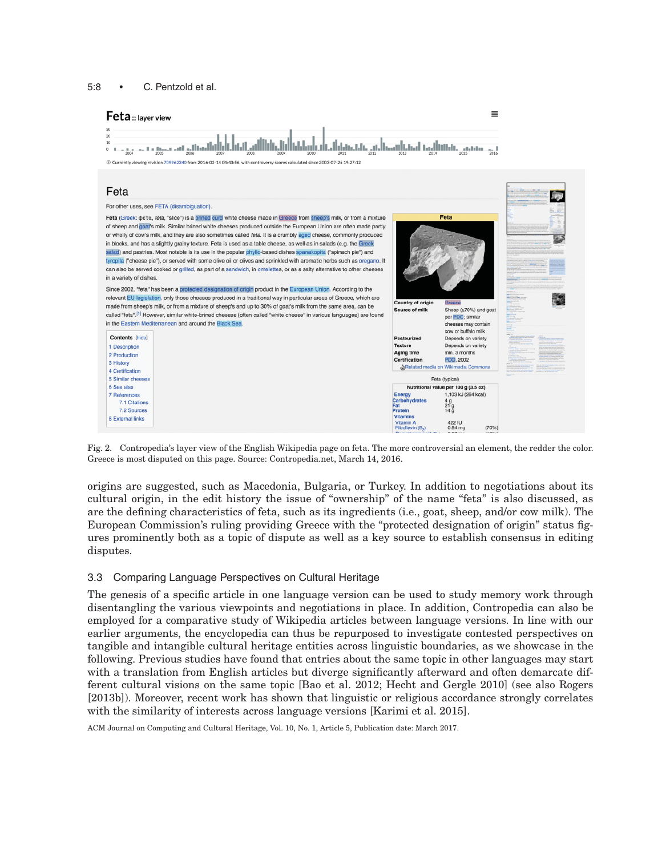



Fig. 2. Contropedia's layer view of the English Wikipedia page on feta. The more controversial an element, the redder the color. Greece is most disputed on this page. Source: Contropedia.net, March 14, 2016.

origins are suggested, such as Macedonia, Bulgaria, or Turkey. In addition to negotiations about its cultural origin, in the edit history the issue of "ownership" of the name "feta" is also discussed, as are the defining characteristics of feta, such as its ingredients (i.e., goat, sheep, and/or cow milk). The European Commission's ruling providing Greece with the "protected designation of origin" status figures prominently both as a topic of dispute as well as a key source to establish consensus in editing disputes.

# 3.3 Comparing Language Perspectives on Cultural Heritage

The genesis of a specific article in one language version can be used to study memory work through disentangling the various viewpoints and negotiations in place. In addition, Contropedia can also be employed for a comparative study of Wikipedia articles between language versions. In line with our earlier arguments, the encyclopedia can thus be repurposed to investigate contested perspectives on tangible and intangible cultural heritage entities across linguistic boundaries, as we showcase in the following. Previous studies have found that entries about the same topic in other languages may start with a translation from English articles but diverge significantly afterward and often demarcate different cultural visions on the same topic [\[Bao et al. 2012;](#page-16-12) [Hecht and Gergle 2010\]](#page-17-22) (see also Rogers [2013b]). Moreover, recent work has shown that linguistic or religious accordance strongly correlates with the similarity of interests across language versions [\[Karimi et al. 2015\]](#page-17-23).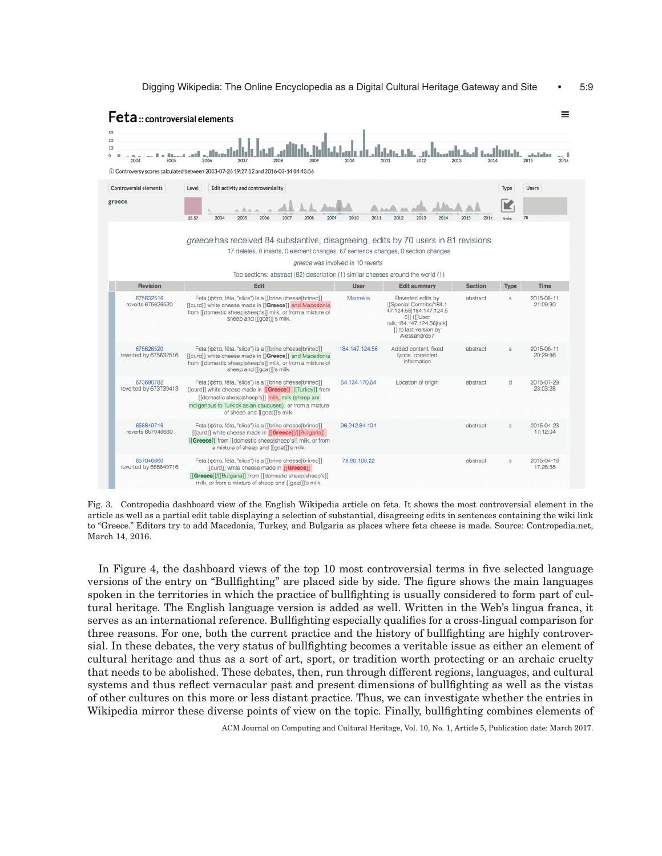

Fig. 3. Contropedia dashboard view of the English Wikipedia article on feta. It shows the most controversial element in the article as well as a partial edit table displaying a selection of substantial, disagreeing edits in sentences containing the wiki link to "Greece." Editors try to add Macedonia, Turkey, and Bulgaria as places where feta cheese is made. Source: Contropedia.net, March 14, 2016.

In Figure 4, the dashboard views of the top 10 most controversial terms in five selected language versions of the entry on "Bullfighting" are placed side by side. The figure shows the main languages spoken in the territories in which the practice of bullfighting is usually considered to form part of cultural heritage. The English language version is added as well. Written in the Web's lingua franca, it serves as an international reference. Bullfighting especially qualifies for a cross-lingual comparison for three reasons. For one, both the current practice and the history of bullfighting are highly controversial. In these debates, the very status of bullfighting becomes a veritable issue as either an element of cultural heritage and thus as a sort of art, sport, or tradition worth protecting or an archaic cruelty that needs to be abolished. These debates, then, run through different regions, languages, and cultural systems and thus reflect vernacular past and present dimensions of bullfighting as well as the vistas of other cultures on this more or less distant practice. Thus, we can investigate whether the entries in Wikipedia mirror these diverse points of view on the topic. Finally, bullfighting combines elements of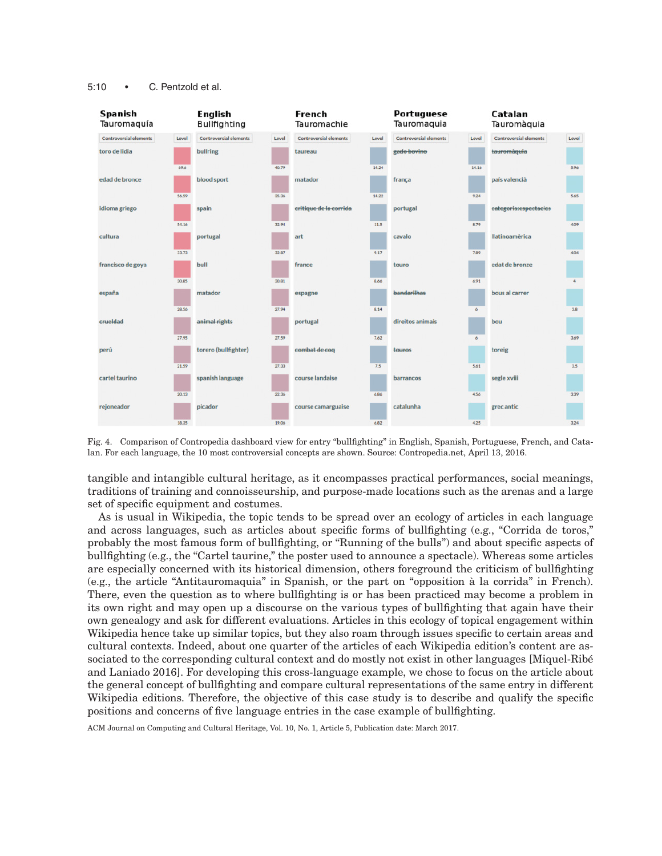#### 5:10 • C. Pentzold et al.



Fig. 4. Comparison of Contropedia dashboard view for entry "bullfighting" in English, Spanish, Portuguese, French, and Catalan. For each language, the 10 most controversial concepts are shown. Source: Contropedia.net, April 13, 2016.

tangible and intangible cultural heritage, as it encompasses practical performances, social meanings, traditions of training and connoisseurship, and purpose-made locations such as the arenas and a large set of specific equipment and costumes.

As is usual in Wikipedia, the topic tends to be spread over an ecology of articles in each language and across languages, such as articles about specific forms of bullfighting (e.g., "Corrida de toros," probably the most famous form of bullfighting, or "Running of the bulls") and about specific aspects of bullfighting (e.g., the "Cartel taurine," the poster used to announce a spectacle). Whereas some articles are especially concerned with its historical dimension, others foreground the criticism of bullfighting (e.g., the article "Antitauromaquia" in Spanish, or the part on "opposition a la corrida" in French). ` There, even the question as to where bullfighting is or has been practiced may become a problem in its own right and may open up a discourse on the various types of bullfighting that again have their own genealogy and ask for different evaluations. Articles in this ecology of topical engagement within Wikipedia hence take up similar topics, but they also roam through issues specific to certain areas and cultural contexts. Indeed, about one quarter of the articles of each Wikipedia edition's content are associated to the corresponding cultural context and do mostly not exist in other languages [Miquel-Ribé] [and Laniado 2016\]](#page-17-24). For developing this cross-language example, we chose to focus on the article about the general concept of bullfighting and compare cultural representations of the same entry in different Wikipedia editions. Therefore, the objective of this case study is to describe and qualify the specific positions and concerns of five language entries in the case example of bullfighting.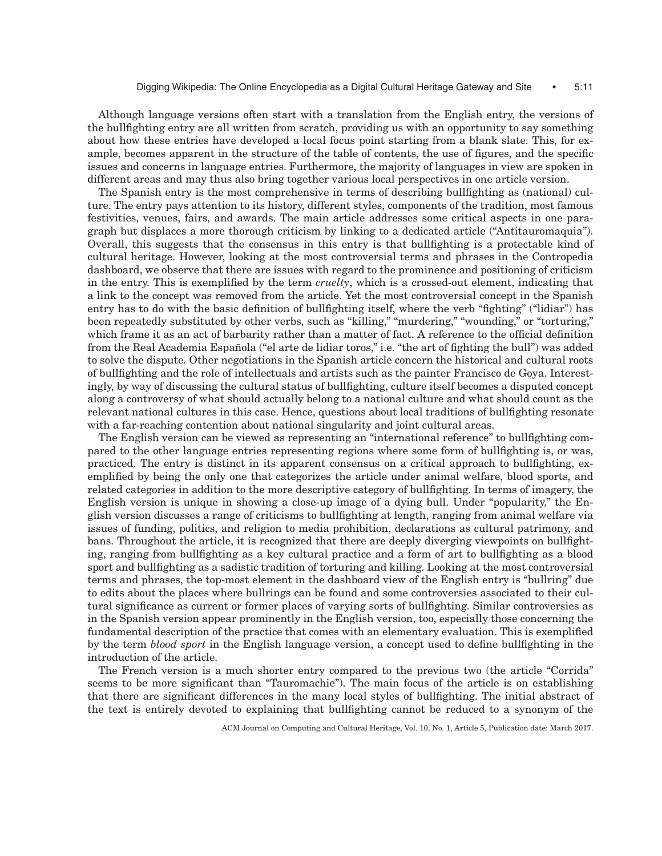Although language versions often start with a translation from the English entry, the versions of the bullfighting entry are all written from scratch, providing us with an opportunity to say something about how these entries have developed a local focus point starting from a blank slate. This, for example, becomes apparent in the structure of the table of contents, the use of figures, and the specific issues and concerns in language entries. Furthermore, the majority of languages in view are spoken in different areas and may thus also bring together various local perspectives in one article version.

The Spanish entry is the most comprehensive in terms of describing bullfighting as (national) culture. The entry pays attention to its history, different styles, components of the tradition, most famous festivities, venues, fairs, and awards. The main article addresses some critical aspects in one paragraph but displaces a more thorough criticism by linking to a dedicated article ("Antitauromaquia"). Overall, this suggests that the consensus in this entry is that bullfighting is a protectable kind of cultural heritage. However, looking at the most controversial terms and phrases in the Contropedia dashboard, we observe that there are issues with regard to the prominence and positioning of criticism in the entry. This is exemplified by the term *cruelty*, which is a crossed-out element, indicating that a link to the concept was removed from the article. Yet the most controversial concept in the Spanish entry has to do with the basic definition of bullfighting itself, where the verb "fighting" ("lidiar") has been repeatedly substituted by other verbs, such as "killing," "murdering," "wounding," or "torturing," which frame it as an act of barbarity rather than a matter of fact. A reference to the official definition from the Real Academia Española ("el arte de lidiar toros," i.e. "the art of fighting the bull") was added to solve the dispute. Other negotiations in the Spanish article concern the historical and cultural roots of bullfighting and the role of intellectuals and artists such as the painter Francisco de Goya. Interestingly, by way of discussing the cultural status of bullfighting, culture itself becomes a disputed concept along a controversy of what should actually belong to a national culture and what should count as the relevant national cultures in this case. Hence, questions about local traditions of bullfighting resonate with a far-reaching contention about national singularity and joint cultural areas.

The English version can be viewed as representing an "international reference" to bullfighting compared to the other language entries representing regions where some form of bullfighting is, or was, practiced. The entry is distinct in its apparent consensus on a critical approach to bullfighting, exemplified by being the only one that categorizes the article under animal welfare, blood sports, and related categories in addition to the more descriptive category of bullfighting. In terms of imagery, the English version is unique in showing a close-up image of a dying bull. Under "popularity," the English version discusses a range of criticisms to bullfighting at length, ranging from animal welfare via issues of funding, politics, and religion to media prohibition, declarations as cultural patrimony, and bans. Throughout the article, it is recognized that there are deeply diverging viewpoints on bullfighting, ranging from bullfighting as a key cultural practice and a form of art to bullfighting as a blood sport and bullfighting as a sadistic tradition of torturing and killing. Looking at the most controversial terms and phrases, the top-most element in the dashboard view of the English entry is "bullring" due to edits about the places where bullrings can be found and some controversies associated to their cultural significance as current or former places of varying sorts of bullfighting. Similar controversies as in the Spanish version appear prominently in the English version, too, especially those concerning the fundamental description of the practice that comes with an elementary evaluation. This is exemplified by the term *blood sport* in the English language version, a concept used to define bullfighting in the introduction of the article.

The French version is a much shorter entry compared to the previous two (the article "Corrida" seems to be more significant than "Tauromachie"). The main focus of the article is on establishing that there are significant differences in the many local styles of bullfighting. The initial abstract of the text is entirely devoted to explaining that bullfighting cannot be reduced to a synonym of the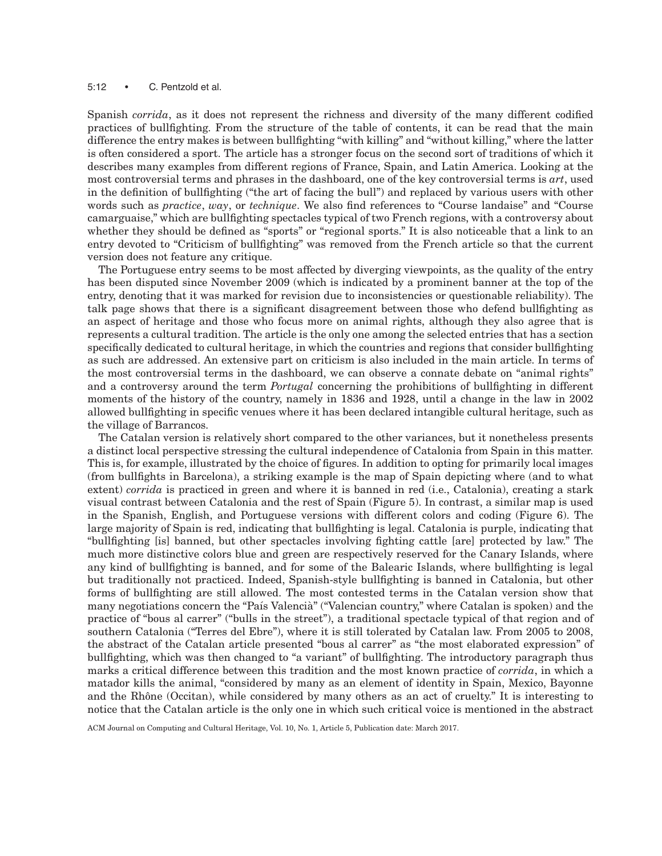#### 5:12 • C. Pentzold et al.

Spanish *corrida*, as it does not represent the richness and diversity of the many different codified practices of bullfighting. From the structure of the table of contents, it can be read that the main difference the entry makes is between bullfighting "with killing" and "without killing," where the latter is often considered a sport. The article has a stronger focus on the second sort of traditions of which it describes many examples from different regions of France, Spain, and Latin America. Looking at the most controversial terms and phrases in the dashboard, one of the key controversial terms is *art*, used in the definition of bullfighting ("the art of facing the bull") and replaced by various users with other words such as *practice*, *way*, or *technique*. We also find references to "Course landaise" and "Course camarguaise," which are bullfighting spectacles typical of two French regions, with a controversy about whether they should be defined as "sports" or "regional sports." It is also noticeable that a link to an entry devoted to "Criticism of bullfighting" was removed from the French article so that the current version does not feature any critique.

The Portuguese entry seems to be most affected by diverging viewpoints, as the quality of the entry has been disputed since November 2009 (which is indicated by a prominent banner at the top of the entry, denoting that it was marked for revision due to inconsistencies or questionable reliability). The talk page shows that there is a significant disagreement between those who defend bullfighting as an aspect of heritage and those who focus more on animal rights, although they also agree that is represents a cultural tradition. The article is the only one among the selected entries that has a section specifically dedicated to cultural heritage, in which the countries and regions that consider bullfighting as such are addressed. An extensive part on criticism is also included in the main article. In terms of the most controversial terms in the dashboard, we can observe a connate debate on "animal rights" and a controversy around the term *Portugal* concerning the prohibitions of bullfighting in different moments of the history of the country, namely in 1836 and 1928, until a change in the law in 2002 allowed bullfighting in specific venues where it has been declared intangible cultural heritage, such as the village of Barrancos.

The Catalan version is relatively short compared to the other variances, but it nonetheless presents a distinct local perspective stressing the cultural independence of Catalonia from Spain in this matter. This is, for example, illustrated by the choice of figures. In addition to opting for primarily local images (from bullfights in Barcelona), a striking example is the map of Spain depicting where (and to what extent) *corrida* is practiced in green and where it is banned in red (i.e., Catalonia), creating a stark visual contrast between Catalonia and the rest of Spain (Figure 5). In contrast, a similar map is used in the Spanish, English, and Portuguese versions with different colors and coding (Figure 6). The large majority of Spain is red, indicating that bullfighting is legal. Catalonia is purple, indicating that "bullfighting [is] banned, but other spectacles involving fighting cattle [are] protected by law." The much more distinctive colors blue and green are respectively reserved for the Canary Islands, where any kind of bullfighting is banned, and for some of the Balearic Islands, where bullfighting is legal but traditionally not practiced. Indeed, Spanish-style bullfighting is banned in Catalonia, but other forms of bullfighting are still allowed. The most contested terms in the Catalan version show that many negotiations concern the "País Valencià" ("Valencian country," where Catalan is spoken) and the practice of "bous al carrer" ("bulls in the street"), a traditional spectacle typical of that region and of southern Catalonia ("Terres del Ebre"), where it is still tolerated by Catalan law. From 2005 to 2008, the abstract of the Catalan article presented "bous al carrer" as "the most elaborated expression" of bullfighting, which was then changed to "a variant" of bullfighting. The introductory paragraph thus marks a critical difference between this tradition and the most known practice of *corrida*, in which a matador kills the animal, "considered by many as an element of identity in Spain, Mexico, Bayonne and the Rhône (Occitan), while considered by many others as an act of cruelty." It is interesting to notice that the Catalan article is the only one in which such critical voice is mentioned in the abstract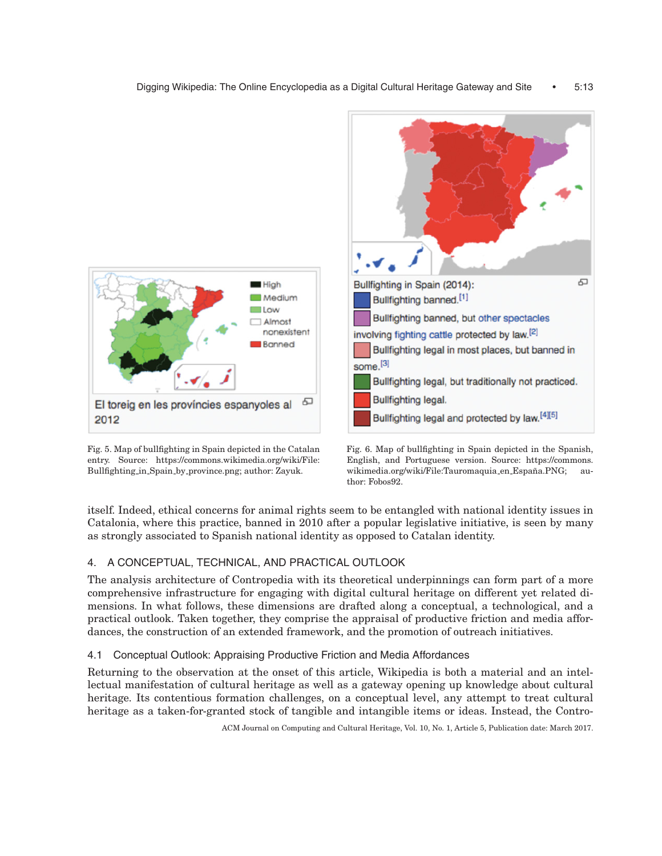

Fig. 5. Map of bullfighting in Spain depicted in the Catalan entry. Source: https://commons.wikimedia.org/wiki/File: Bullfighting in Spain by province.png; author: Zayuk.



Fig. 6. Map of bullfighting in Spain depicted in the Spanish, English, and Portuguese version. Source: https://commons. wikimedia.org/wiki/File:Tauromaquia\_en\_España.PNG; author: Fobos92.

itself. Indeed, ethical concerns for animal rights seem to be entangled with national identity issues in Catalonia, where this practice, banned in 2010 after a popular legislative initiative, is seen by many as strongly associated to Spanish national identity as opposed to Catalan identity.

# 4. A CONCEPTUAL, TECHNICAL, AND PRACTICAL OUTLOOK

The analysis architecture of Contropedia with its theoretical underpinnings can form part of a more comprehensive infrastructure for engaging with digital cultural heritage on different yet related dimensions. In what follows, these dimensions are drafted along a conceptual, a technological, and a practical outlook. Taken together, they comprise the appraisal of productive friction and media affordances, the construction of an extended framework, and the promotion of outreach initiatives.

# 4.1 Conceptual Outlook: Appraising Productive Friction and Media Affordances

Returning to the observation at the onset of this article, Wikipedia is both a material and an intellectual manifestation of cultural heritage as well as a gateway opening up knowledge about cultural heritage. Its contentious formation challenges, on a conceptual level, any attempt to treat cultural heritage as a taken-for-granted stock of tangible and intangible items or ideas. Instead, the Contro-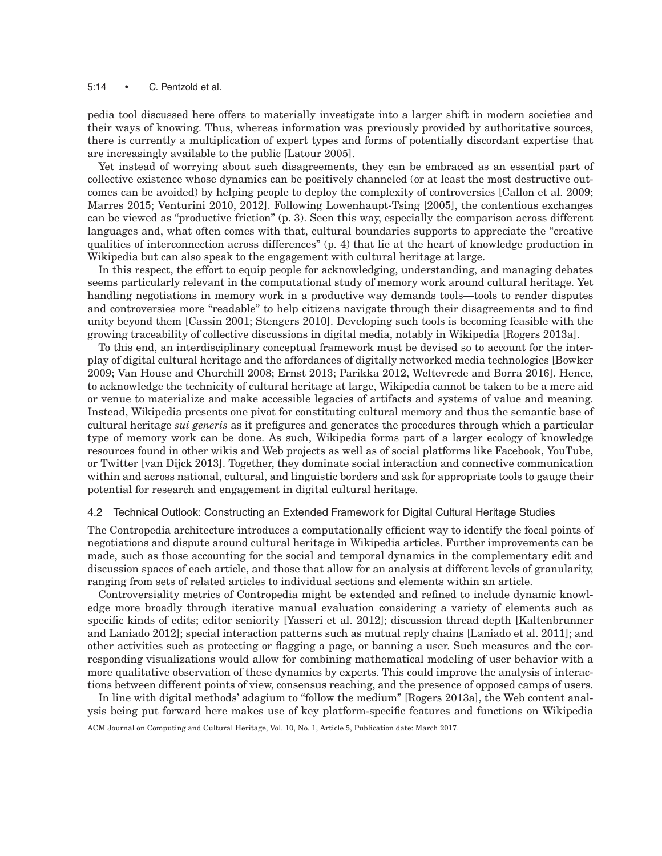#### 5:14 • C. Pentzold et al.

pedia tool discussed here offers to materially investigate into a larger shift in modern societies and their ways of knowing. Thus, whereas information was previously provided by authoritative sources, there is currently a multiplication of expert types and forms of potentially discordant expertise that are increasingly available to the public [\[Latour 2005\]](#page-17-25).

Yet instead of worrying about such disagreements, they can be embraced as an essential part of collective existence whose dynamics can be positively channeled (or at least the most destructive outcomes can be avoided) by helping people to deploy the complexity of controversies [\[Callon et al. 2009;](#page-16-14) [Marres 2015;](#page-17-26) [Venturini 2010,](#page-18-16) 2012]. Following [Lowenhaupt-Tsing \[2005\],](#page-17-27) the contentious exchanges can be viewed as "productive friction" (p. 3). Seen this way, especially the comparison across different languages and, what often comes with that, cultural boundaries supports to appreciate the "creative qualities of interconnection across differences" (p. 4) that lie at the heart of knowledge production in Wikipedia but can also speak to the engagement with cultural heritage at large.

In this respect, the effort to equip people for acknowledging, understanding, and managing debates seems particularly relevant in the computational study of memory work around cultural heritage. Yet handling negotiations in memory work in a productive way demands tools—tools to render disputes and controversies more "readable" to help citizens navigate through their disagreements and to find unity beyond them [\[Cassin 2001;](#page-16-15) [Stengers 2010\]](#page-17-28). Developing such tools is becoming feasible with the growing traceability of collective discussions in digital media, notably in Wikipedia [\[Rogers 2013a\]](#page-17-4).

To this end, an interdisciplinary conceptual framework must be devised so to account for the interplay of digital cultural heritage and the affordances of digitally networked media technologies [\[Bowker](#page-16-16) [2009;](#page-16-16) Van [House and Churchill 2008;](#page-18-17) [Ernst 2013;](#page-16-17) [Parikka 2012,](#page-17-29) [Weltevrede and Borra 2016\]](#page-18-18). Hence, to acknowledge the technicity of cultural heritage at large, Wikipedia cannot be taken to be a mere aid or venue to materialize and make accessible legacies of artifacts and systems of value and meaning. Instead, Wikipedia presents one pivot for constituting cultural memory and thus the semantic base of cultural heritage *sui generis* as it prefigures and generates the procedures through which a particular type of memory work can be done. As such, Wikipedia forms part of a larger ecology of knowledge resources found in other wikis and Web projects as well as of social platforms like Facebook, YouTube, or Twitter [van [Dijck 2013\]](#page-18-19). Together, they dominate social interaction and connective communication within and across national, cultural, and linguistic borders and ask for appropriate tools to gauge their potential for research and engagement in digital cultural heritage.

#### 4.2 Technical Outlook: Constructing an Extended Framework for Digital Cultural Heritage Studies

The Contropedia architecture introduces a computationally efficient way to identify the focal points of negotiations and dispute around cultural heritage in Wikipedia articles. Further improvements can be made, such as those accounting for the social and temporal dynamics in the complementary edit and discussion spaces of each article, and those that allow for an analysis at different levels of granularity, ranging from sets of related articles to individual sections and elements within an article.

Controversiality metrics of Contropedia might be extended and refined to include dynamic knowledge more broadly through iterative manual evaluation considering a variety of elements such as specific kinds of edits; editor seniority [\[Yasseri et al. 2012\]](#page-18-13); discussion thread depth [\[Kaltenbrunner](#page-17-30) [and Laniado 2012\]](#page-17-30); special interaction patterns such as mutual reply chains [\[Laniado et al. 2011\]](#page-17-19); and other activities such as protecting or flagging a page, or banning a user. Such measures and the corresponding visualizations would allow for combining mathematical modeling of user behavior with a more qualitative observation of these dynamics by experts. This could improve the analysis of interactions between different points of view, consensus reaching, and the presence of opposed camps of users.

In line with digital methods' adagium to "follow the medium" [\[Rogers 2013a\]](#page-17-4), the Web content analysis being put forward here makes use of key platform-specific features and functions on Wikipedia ACM Journal on Computing and Cultural Heritage, Vol. 10, No. 1, Article 5, Publication date: March 2017.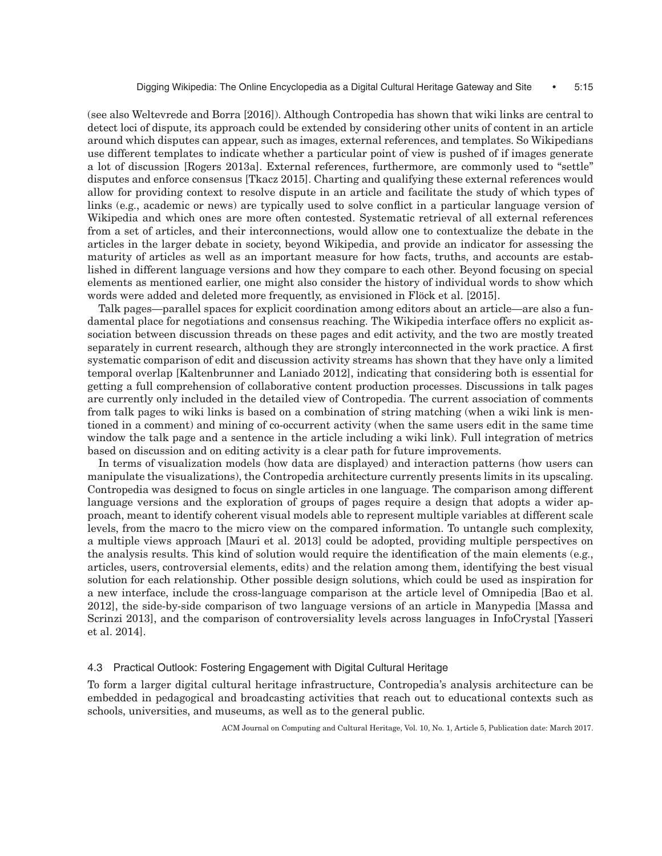(see also [Weltevrede and Borra \[2016\]\)](#page-18-18). Although Contropedia has shown that wiki links are central to detect loci of dispute, its approach could be extended by considering other units of content in an article around which disputes can appear, such as images, external references, and templates. So Wikipedians use different templates to indicate whether a particular point of view is pushed of if images generate a lot of discussion [Rogers 2013a]. External references, furthermore, are commonly used to "settle" disputes and enforce consensus [\[Tkacz 2015\]](#page-18-20). Charting and qualifying these external references would allow for providing context to resolve dispute in an article and facilitate the study of which types of links (e.g., academic or news) are typically used to solve conflict in a particular language version of Wikipedia and which ones are more often contested. Systematic retrieval of all external references from a set of articles, and their interconnections, would allow one to contextualize the debate in the articles in the larger debate in society, beyond Wikipedia, and provide an indicator for assessing the maturity of articles as well as an important measure for how facts, truths, and accounts are established in different language versions and how they compare to each other. Beyond focusing on special elements as mentioned earlier, one might also consider the history of individual words to show which words were added and deleted more frequently, as envisioned in Flöck et al. [2015].

Talk pages—parallel spaces for explicit coordination among editors about an article—are also a fundamental place for negotiations and consensus reaching. The Wikipedia interface offers no explicit association between discussion threads on these pages and edit activity, and the two are mostly treated separately in current research, although they are strongly interconnected in the work practice. A first systematic comparison of edit and discussion activity streams has shown that they have only a limited temporal overlap [\[Kaltenbrunner and Laniado 2012\]](#page-17-30), indicating that considering both is essential for getting a full comprehension of collaborative content production processes. Discussions in talk pages are currently only included in the detailed view of Contropedia. The current association of comments from talk pages to wiki links is based on a combination of string matching (when a wiki link is mentioned in a comment) and mining of co-occurrent activity (when the same users edit in the same time window the talk page and a sentence in the article including a wiki link). Full integration of metrics based on discussion and on editing activity is a clear path for future improvements.

In terms of visualization models (how data are displayed) and interaction patterns (how users can manipulate the visualizations), the Contropedia architecture currently presents limits in its upscaling. Contropedia was designed to focus on single articles in one language. The comparison among different language versions and the exploration of groups of pages require a design that adopts a wider approach, meant to identify coherent visual models able to represent multiple variables at different scale levels, from the macro to the micro view on the compared information. To untangle such complexity, a multiple views approach [\[Mauri et al. 2013\]](#page-17-31) could be adopted, providing multiple perspectives on the analysis results. This kind of solution would require the identification of the main elements (e.g., articles, users, controversial elements, edits) and the relation among them, identifying the best visual solution for each relationship. Other possible design solutions, which could be used as inspiration for a new interface, include the cross-language comparison at the article level of Omnipedia [\[Bao et al.](#page-16-12) [2012\]](#page-16-12), the side-by-side comparison of two language versions of an article in Manypedia [\[Massa and](#page-17-17) [Scrinzi 2013\]](#page-17-17), and the comparison of controversiality levels across languages in InfoCrystal [\[Yasseri](#page-18-21) [et al. 2014\]](#page-18-21).

#### 4.3 Practical Outlook: Fostering Engagement with Digital Cultural Heritage

To form a larger digital cultural heritage infrastructure, Contropedia's analysis architecture can be embedded in pedagogical and broadcasting activities that reach out to educational contexts such as schools, universities, and museums, as well as to the general public.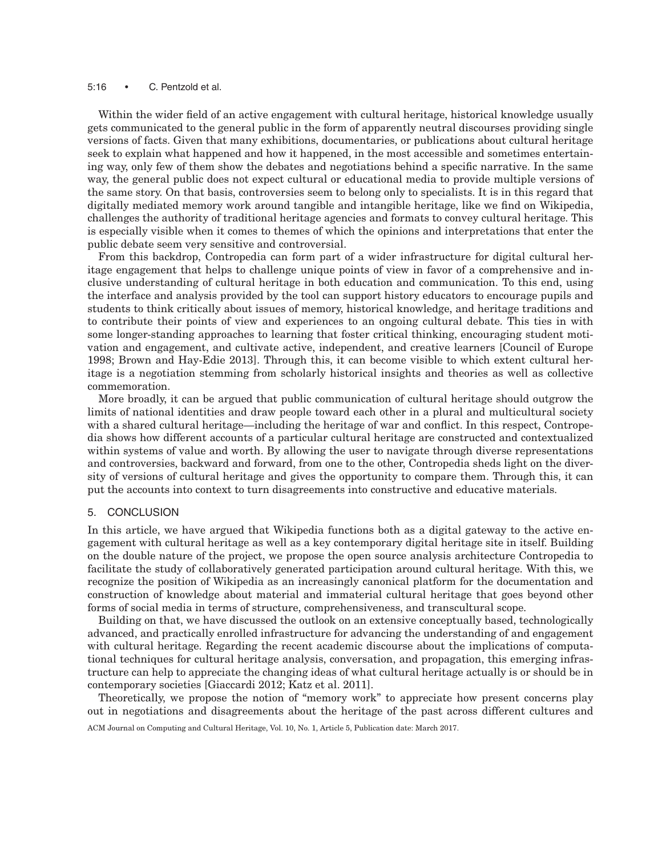#### 5:16 • C. Pentzold et al.

Within the wider field of an active engagement with cultural heritage, historical knowledge usually gets communicated to the general public in the form of apparently neutral discourses providing single versions of facts. Given that many exhibitions, documentaries, or publications about cultural heritage seek to explain what happened and how it happened, in the most accessible and sometimes entertaining way, only few of them show the debates and negotiations behind a specific narrative. In the same way, the general public does not expect cultural or educational media to provide multiple versions of the same story. On that basis, controversies seem to belong only to specialists. It is in this regard that digitally mediated memory work around tangible and intangible heritage, like we find on Wikipedia, challenges the authority of traditional heritage agencies and formats to convey cultural heritage. This is especially visible when it comes to themes of which the opinions and interpretations that enter the public debate seem very sensitive and controversial.

From this backdrop, Contropedia can form part of a wider infrastructure for digital cultural heritage engagement that helps to challenge unique points of view in favor of a comprehensive and inclusive understanding of cultural heritage in both education and communication. To this end, using the interface and analysis provided by the tool can support history educators to encourage pupils and students to think critically about issues of memory, historical knowledge, and heritage traditions and to contribute their points of view and experiences to an ongoing cultural debate. This ties in with some longer-standing approaches to learning that foster critical thinking, encouraging student motivation and engagement, and cultivate active, independent, and creative learners [Council of [Europe](#page-16-19) [1998;](#page-16-19) [Brown and Hay-Edie 2013\]](#page-16-20). Through this, it can become visible to which extent cultural heritage is a negotiation stemming from scholarly historical insights and theories as well as collective commemoration.

More broadly, it can be argued that public communication of cultural heritage should outgrow the limits of national identities and draw people toward each other in a plural and multicultural society with a shared cultural heritage—including the heritage of war and conflict. In this respect, Contropedia shows how different accounts of a particular cultural heritage are constructed and contextualized within systems of value and worth. By allowing the user to navigate through diverse representations and controversies, backward and forward, from one to the other, Contropedia sheds light on the diversity of versions of cultural heritage and gives the opportunity to compare them. Through this, it can put the accounts into context to turn disagreements into constructive and educative materials.

#### 5. CONCLUSION

In this article, we have argued that Wikipedia functions both as a digital gateway to the active engagement with cultural heritage as well as a key contemporary digital heritage site in itself. Building on the double nature of the project, we propose the open source analysis architecture Contropedia to facilitate the study of collaboratively generated participation around cultural heritage. With this, we recognize the position of Wikipedia as an increasingly canonical platform for the documentation and construction of knowledge about material and immaterial cultural heritage that goes beyond other forms of social media in terms of structure, comprehensiveness, and transcultural scope.

Building on that, we have discussed the outlook on an extensive conceptually based, technologically advanced, and practically enrolled infrastructure for advancing the understanding of and engagement with cultural heritage. Regarding the recent academic discourse about the implications of computational techniques for cultural heritage analysis, conversation, and propagation, this emerging infrastructure can help to appreciate the changing ideas of what cultural heritage actually is or should be in contemporary societies [\[Giaccardi 2012;](#page-16-4) [Katz et al. 2011\]](#page-17-3).

Theoretically, we propose the notion of "memory work" to appreciate how present concerns play out in negotiations and disagreements about the heritage of the past across different cultures and ACM Journal on Computing and Cultural Heritage, Vol. 10, No. 1, Article 5, Publication date: March 2017.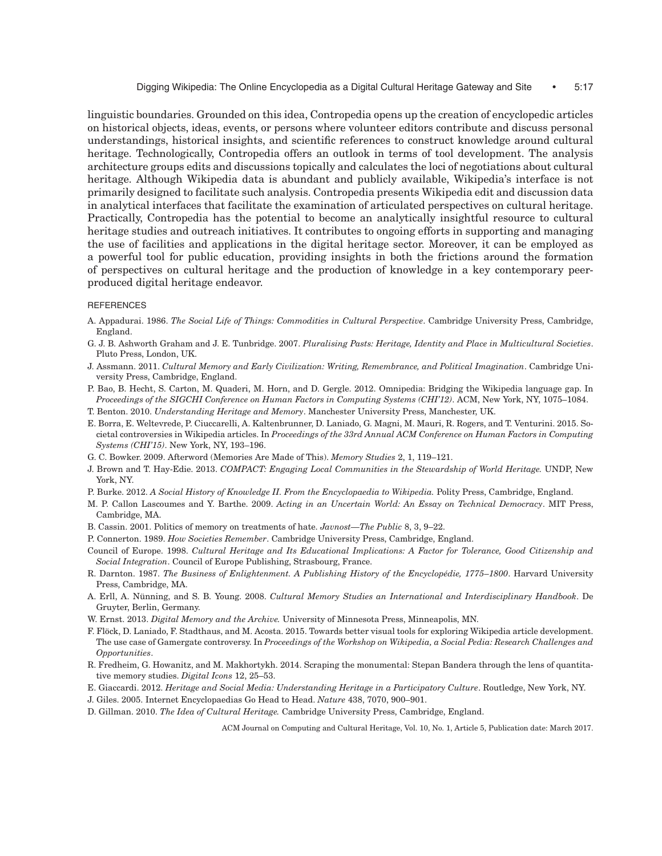linguistic boundaries. Grounded on this idea, Contropedia opens up the creation of encyclopedic articles on historical objects, ideas, events, or persons where volunteer editors contribute and discuss personal understandings, historical insights, and scientific references to construct knowledge around cultural heritage. Technologically, Contropedia offers an outlook in terms of tool development. The analysis architecture groups edits and discussions topically and calculates the loci of negotiations about cultural heritage. Although Wikipedia data is abundant and publicly available, Wikipedia's interface is not primarily designed to facilitate such analysis. Contropedia presents Wikipedia edit and discussion data in analytical interfaces that facilitate the examination of articulated perspectives on cultural heritage. Practically, Contropedia has the potential to become an analytically insightful resource to cultural heritage studies and outreach initiatives. It contributes to ongoing efforts in supporting and managing the use of facilities and applications in the digital heritage sector. Moreover, it can be employed as a powerful tool for public education, providing insights in both the frictions around the formation of perspectives on cultural heritage and the production of knowledge in a key contemporary peerproduced digital heritage endeavor.

#### **REFERENCES**

- <span id="page-16-1"></span>A. Appadurai. 1986. *The Social Life of Things: Commodities in Cultural Perspective*. Cambridge University Press, Cambridge, England.
- <span id="page-16-6"></span>G. J. B. Ashworth Graham and J. E. Tunbridge. 2007. *Pluralising Pasts: Heritage, Identity and Place in Multicultural Societies*. Pluto Press, London, UK.
- <span id="page-16-9"></span>J. Assmann. 2011. *Cultural Memory and Early Civilization: Writing, Remembrance, and Political Imagination*. Cambridge University Press, Cambridge, England.
- <span id="page-16-12"></span>P. Bao, B. Hecht, S. Carton, M. Quaderi, M. Horn, and D. Gergle. 2012. Omnipedia: Bridging the Wikipedia language gap. In *Proceedings of the SIGCHI Conference on Human Factors in Computing Systems (CHI'12)*. ACM, New York, NY, 1075–1084.
- <span id="page-16-7"></span>T. Benton. 2010. *Understanding Heritage and Memory*. Manchester University Press, Manchester, UK.
- <span id="page-16-5"></span>E. Borra, E. Weltevrede, P. Ciuccarelli, A. Kaltenbrunner, D. Laniado, G. Magni, M. Mauri, R. Rogers, and T. Venturini. 2015. Societal controversies in Wikipedia articles. In *Proceedings of the 33rd Annual ACM Conference on Human Factors in Computing Systems (CHI'15)*. New York, NY, 193–196.
- <span id="page-16-16"></span>G. C. Bowker. 2009. Afterword (Memories Are Made of This). *Memory Studies* 2, 1, 119–121.
- <span id="page-16-20"></span>J. Brown and T. Hay-Edie. 2013. *COMPACT: Engaging Local Communities in the Stewardship of World Heritage.* UNDP, New York, NY.
- <span id="page-16-3"></span>P. Burke. 2012. *A Social History of Knowledge II. From the Encyclopaedia to Wikipedia.* Polity Press, Cambridge, England.
- <span id="page-16-14"></span>M. P. Callon Lascoumes and Y. Barthe. 2009. *Acting in an Uncertain World: An Essay on Technical Democracy*. MIT Press, Cambridge, MA.
- <span id="page-16-15"></span>B. Cassin. 2001. Politics of memory on treatments of hate. *Javnost—The Public* 8, 3, 9–22.
- <span id="page-16-10"></span>P. Connerton. 1989. *How Societies Remember*. Cambridge University Press, Cambridge, England.
- <span id="page-16-19"></span>Council of Europe. 1998. *Cultural Heritage and Its Educational Implications: A Factor for Tolerance, Good Citizenship and Social Integration*. Council of Europe Publishing, Strasbourg, France.
- <span id="page-16-2"></span>R. Darnton. 1987. *The Business of Enlightenment. A Publishing History of the Encyclopédie, 1775–1800*. Harvard University Press, Cambridge, MA.
- <span id="page-16-8"></span>A. Erll, A. Nünning, and S. B. Young. 2008. Cultural Memory Studies an International and Interdisciplinary Handbook. De Gruyter, Berlin, Germany.
- <span id="page-16-17"></span>W. Ernst. 2013. *Digital Memory and the Archive.* University of Minnesota Press, Minneapolis, MN.
- <span id="page-16-18"></span>F. Flöck, D. Laniado, F. Stadthaus, and M. Acosta. 2015. Towards better visual tools for exploring Wikipedia article development. The use case of Gamergate controversy. In *Proceedings of the Workshop on Wikipedia, a Social Pedia: Research Challenges and Opportunities*.
- <span id="page-16-13"></span>R. Fredheim, G. Howanitz, and M. Makhortykh. 2014. Scraping the monumental: Stepan Bandera through the lens of quantitative memory studies. *Digital Icons* 12, 25–53.
- <span id="page-16-4"></span>E. Giaccardi. 2012. *Heritage and Social Media: Understanding Heritage in a Participatory Culture*. Routledge, New York, NY.
- <span id="page-16-11"></span>J. Giles. 2005. Internet Encyclopaedias Go Head to Head. *Nature* 438, 7070, 900–901.
- <span id="page-16-0"></span>D. Gillman. 2010. *The Idea of Cultural Heritage.* Cambridge University Press, Cambridge, England.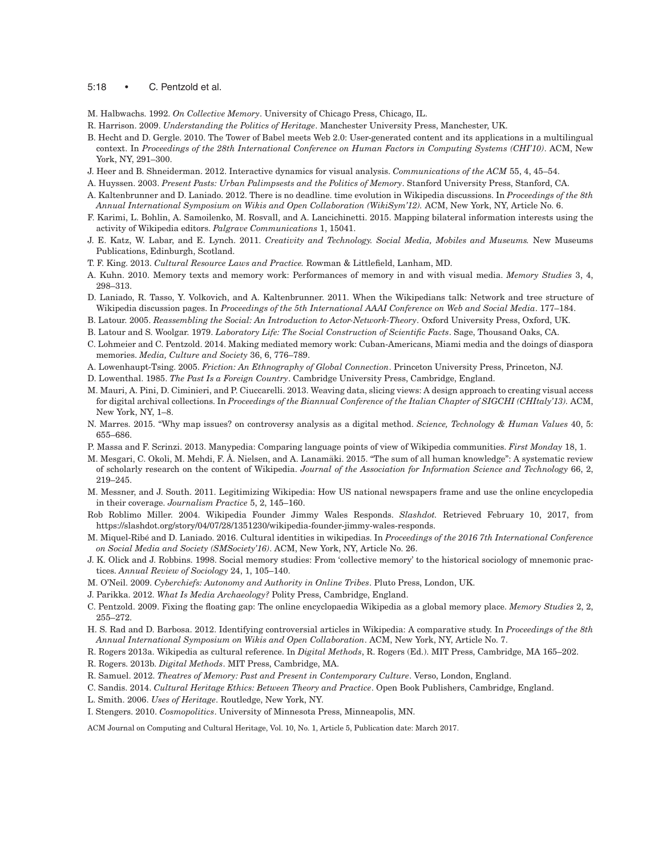#### 5:18 • C. Pentzold et al.

<span id="page-17-11"></span>M. Halbwachs. 1992. *On Collective Memory*. University of Chicago Press, Chicago, IL.

- <span id="page-17-5"></span>R. Harrison. 2009. *Understanding the Politics of Heritage*. Manchester University Press, Manchester, UK.
- <span id="page-17-22"></span>B. Hecht and D. Gergle. 2010. The Tower of Babel meets Web 2.0: User-generated content and its applications in a multilingual context. In *Proceedings of the 28th International Conference on Human Factors in Computing Systems (CHI'10)*. ACM, New York, NY, 291–300.
- <span id="page-17-21"></span>J. Heer and B. Shneiderman. 2012. Interactive dynamics for visual analysis. *Communications of the ACM* 55, 4, 45–54.
- <span id="page-17-8"></span>A. Huyssen. 2003. *Present Pasts: Urban Palimpsests and the Politics of Memory*. Stanford University Press, Stanford, CA.
- <span id="page-17-30"></span>A. Kaltenbrunner and D. Laniado. 2012. There is no deadline. time evolution in Wikipedia discussions. In *Proceedings of the 8th Annual International Symposium on Wikis and Open Collaboration (WikiSym'12).* ACM, New York, NY, Article No. 6.
- <span id="page-17-23"></span>F. Karimi, L. Bohlin, A. Samoilenko, M. Rosvall, and A. Lancichinetti. 2015. Mapping bilateral information interests using the activity of Wikipedia editors. *Palgrave Communications* 1, 15041.
- <span id="page-17-3"></span>J. E. Katz, W. Labar, and E. Lynch. 2011. *Creativity and Technology. Social Media, Mobiles and Museums.* New Museums Publications, Edinburgh, Scotland.
- <span id="page-17-0"></span>T. F. King. 2013. *Cultural Resource Laws and Practice.* Rowman & Littlefield, Lanham, MD.
- A. Kuhn. 2010. Memory texts and memory work: Performances of memory in and with visual media. *Memory Studies* 3, 4, 298–313.
- <span id="page-17-19"></span>D. Laniado, R. Tasso, Y. Volkovich, and A. Kaltenbrunner. 2011. When the Wikipedians talk: Network and tree structure of Wikipedia discussion pages. In *Proceedings of the 5th International AAAI Conference on Web and Social Media*. 177–184.
- <span id="page-17-25"></span>B. Latour. 2005. *Reassembling the Social: An Introduction to Actor-Network-Theory*. Oxford University Press, Oxford, UK.
- <span id="page-17-14"></span>B. Latour and S. Woolgar. 1979. *Laboratory Life: The Social Construction of Scientific Facts*. Sage, Thousand Oaks, CA.
- <span id="page-17-12"></span>C. Lohmeier and C. Pentzold. 2014. Making mediated memory work: Cuban-Americans, Miami media and the doings of diaspora memories. *Media, Culture and Society* 36, 6, 776–789.
- <span id="page-17-27"></span>A. Lowenhaupt-Tsing. 2005. *Friction: An Ethnography of Global Connection*. Princeton University Press, Princeton, NJ.
- <span id="page-17-1"></span>D. Lowenthal. 1985. *The Past Is a Foreign Country*. Cambridge University Press, Cambridge, England.
- <span id="page-17-31"></span>M. Mauri, A. Pini, D. Ciminieri, and P. Ciuccarelli. 2013. Weaving data, slicing views: A design approach to creating visual access for digital archival collections. In *Proceedings of the Biannual Conference of the Italian Chapter of SIGCHI (CHItaly'13).* ACM, New York, NY, 1–8.
- <span id="page-17-26"></span>N. Marres. 2015. "Why map issues? on controversy analysis as a digital method. *Science, Technology & Human Values* 40, 5: 655–686.
- <span id="page-17-17"></span>P. Massa and F. Scrinzi. 2013. Manypedia: Comparing language points of view of Wikipedia communities. *First Monday* 18, 1.
- <span id="page-17-18"></span>M. Mesgari, C. Okoli, M. Mehdi, F. Å. Nielsen, and A. Lanamäki. 2015. "The sum of all human knowledge": A systematic review of scholarly research on the content of Wikipedia. *Journal of the Association for Information Science and Technology* 66, 2, 219–245.
- <span id="page-17-13"></span>M. Messner, and J. South. 2011. Legitimizing Wikipedia: How US national newspapers frame and use the online encyclopedia in their coverage. *Journalism Practice* 5, 2, 145–160.
- <span id="page-17-7"></span>Rob Roblimo Miller. 2004. Wikipedia Founder Jimmy Wales Responds. *Slashdot.* Retrieved February 10, 2017, from https://slashdot.org/story/04/07/28/1351230/wikipedia-founder-jimmy-wales-responds.
- <span id="page-17-24"></span>M. Miquel-Ribé and D. Laniado. 2016. Cultural identities in wikipedias. In Proceedings of the 2016 7th International Conference *on Social Media and Society (SMSociety'16)*. ACM, New York, NY, Article No. 26.
- <span id="page-17-10"></span>J. K. Olick and J. Robbins. 1998. Social memory studies: From 'collective memory' to the historical sociology of mnemonic practices. *Annual Review of Sociology* 24, 1, 105–140.
- <span id="page-17-15"></span>M. O'Neil. 2009. *Cyberchiefs: Autonomy and Authority in Online Tribes*. Pluto Press, London, UK.
- <span id="page-17-29"></span>J. Parikka. 2012. *What Is Media Archaeology?* Polity Press, Cambridge, England.
- <span id="page-17-16"></span>C. Pentzold. 2009. Fixing the floating gap: The online encyclopaedia Wikipedia as a global memory place. *Memory Studies* 2, 2, 255–272.
- <span id="page-17-20"></span>H. S. Rad and D. Barbosa. 2012. Identifying controversial articles in Wikipedia: A comparative study. In *Proceedings of the 8th Annual International Symposium on Wikis and Open Collaboration*. ACM, New York, NY, Article No. 7.
- <span id="page-17-4"></span>R. Rogers 2013a. Wikipedia as cultural reference. In *Digital Methods*, R. Rogers (Ed.). MIT Press, Cambridge, MA 165–202.
- R. Rogers. 2013b. *Digital Methods*. MIT Press, Cambridge, MA.
- <span id="page-17-9"></span>R. Samuel. 2012. *Theatres of Memory: Past and Present in Contemporary Culture*. Verso, London, England.
- <span id="page-17-6"></span>C. Sandis. 2014. *Cultural Heritage Ethics: Between Theory and Practice*. Open Book Publishers, Cambridge, England.
- <span id="page-17-2"></span>L. Smith. 2006. *Uses of Heritage*. Routledge, New York, NY.
- <span id="page-17-28"></span>I. Stengers. 2010. *Cosmopolitics*. University of Minnesota Press, Minneapolis, MN.